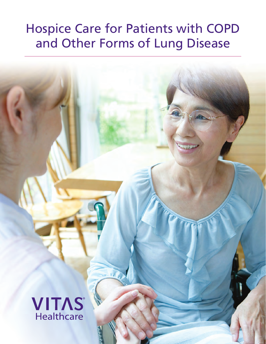# Hospice Care for Patients with COPD and Other Forms of Lung Disease

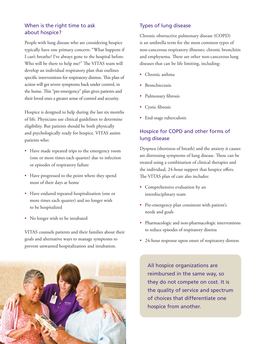### When is the right time to ask about hospice?

People with lung disease who are considering hospice typically have one primary concern: "What happens if I can't breathe? I've always gone to the hospital before. Who will be there to help me?" The VITAS team will develop an individual respiratory plan that outlines specific interventions for respiratory distress. This plan of action will get severe symptoms back under control, in the home. This "pre-emergency" plan gives patients and their loved ones a greater sense of control and security.

Hospice is designed to help during the last six months of life. Physicians use clinical guidelines to determine eligibility. But patients should be both physically and psychologically ready for hospice. VITAS assists patients who:

- Have made repeated trips to the emergency room (one or more times each quarter) due to infection or episodes of respiratory failure
- Have progressed to the point where they spend most of their days at home
- Have endured repeated hospitalization (one or more times each quarter) and no longer wish to be hospitalized
- No longer wish to be intubated

VITAS counsels patients and their families about their goals and alternative ways to manage symptoms to prevent unwanted hospitalization and intubation.



#### Types of lung disease

Chronic obstructive pulmonary disease (COPD) is an umbrella term for the most common types of non-cancerous respiratory illnesses: chronic bronchitis and emphysema. There are other non-cancerous lung diseases that can be life limiting, including:

- Chronic asthma
- **Bronchiectasis**
- Pulmonary fibrosis
- Cystic fibrosis
- End-stage tuberculosis

## Hospice for COPD and other forms of lung disease

Dyspnea (shortness of breath) and the anxiety it causes are distressing symptoms of lung disease. These can be treated using a combination of clinical therapies and the individual, 24-hour support that hospice offers. The VITAS plan of care also includes:

- Comprehensive evaluation by an interdisciplinary team
- Pre-emergency plan consistent with patient's needs and goals
- Pharmacologic and non-pharmacologic interventions to reduce episodes of respiratory distress
- 24-hour response upon onset of respiratory distress

All hospice organizations are reimbursed in the same way, so they do not compete on cost. It is the quality of service and spectrum of choices that differentiate one hospice from another.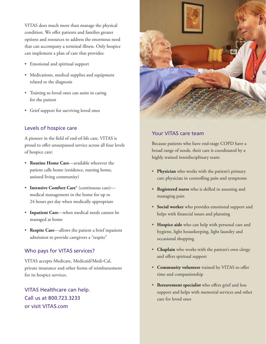VITAS does much more than manage the physical condition. We offer patients and families greater options and resources to address the enormous need that can accompany a terminal illness. Only hospice can implement a plan of care that provides:

- Emotional and spiritual support
- Medications, medical supplies and equipment related to the diagnosis
- Training so loved ones can assist in caring for the patient
- Grief support for surviving loved ones

#### Levels of hospice care

A pioneer in the field of end-of-life care, VITAS is proud to offer unsurpassed service across all four levels of hospice care:

- **Routine Home Care**—available wherever the patient calls home (residence, nursing home, assisted living community)
- **Intensive Comfort Care®** (continuous care) medical management in the home for up to 24 hours per day when medically appropriate
- **Inpatient Care**—when medical needs cannot be managed at home
- **Respite Care**—allows the patient a brief inpatient admission to provide caregivers a "respite"

#### Who pays for VITAS services?

VITAS accepts Medicare, Medicaid/Medi-Cal, private insurance and other forms of reimbursement for its hospice services.

VITAS Healthcare can help. Call us at 800.723.3233 or visit VITAS.com



#### Your VITAS care team

Because patients who have end-stage COPD have a broad range of needs, their care is coordinated by a highly trained interdisciplinary team:

- **Physician** who works with the patient's primary care physician in controlling pain and symptoms
- **Registered nurse** who is skilled in assessing and managing pain
- **Social worker** who provides emotional support and helps with financial issues and planning
- **Hospice aide** who can help with personal care and hygiene, light housekeeping, light laundry and occasional shopping
- **Chaplain** who works with the patient's own clergy and offers spiritual support
- Community volunteer trained by VITAS to offer time and companionship
- Bereavement specialist who offers grief and loss support and helps with memorial services and other care for loved ones